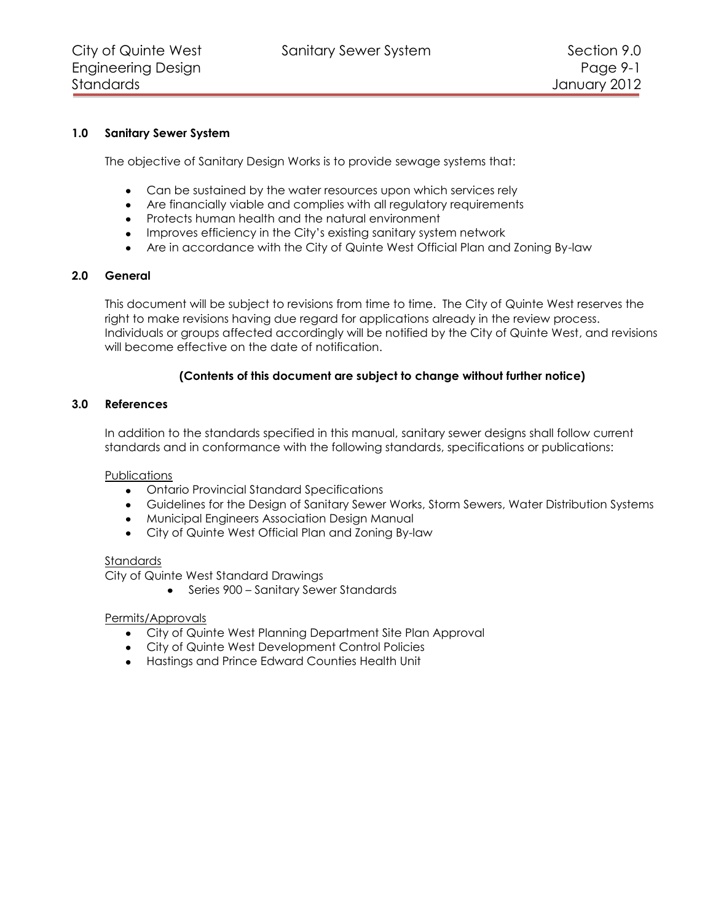# **1.0 Sanitary Sewer System**

The objective of Sanitary Design Works is to provide sewage systems that:

- Can be sustained by the water resources upon which services rely
- Are financially viable and complies with all regulatory requirements
- Protects human health and the natural environment
- Improves efficiency in the City's existing sanitary system network
- Are in accordance with the City of Quinte West Official Plan and Zoning By-law

## **2.0 General**

This document will be subject to revisions from time to time. The City of Quinte West reserves the right to make revisions having due regard for applications already in the review process. Individuals or groups affected accordingly will be notified by the City of Quinte West, and revisions will become effective on the date of notification.

# **(Contents of this document are subject to change without further notice)**

## **3.0 References**

In addition to the standards specified in this manual, sanitary sewer designs shall follow current standards and in conformance with the following standards, specifications or publications:

## **Publications**

- Ontario Provincial Standard Specifications
- Guidelines for the Design of Sanitary Sewer Works, Storm Sewers, Water Distribution Systems
- Municipal Engineers Association Design Manual
- City of Quinte West Official Plan and Zoning By-law

#### Standards

City of Quinte West Standard Drawings

• Series 900 – Sanitary Sewer Standards

## Permits/Approvals

- City of Quinte West Planning Department Site Plan Approval
- City of Quinte West Development Control Policies
- Hastings and Prince Edward Counties Health Unit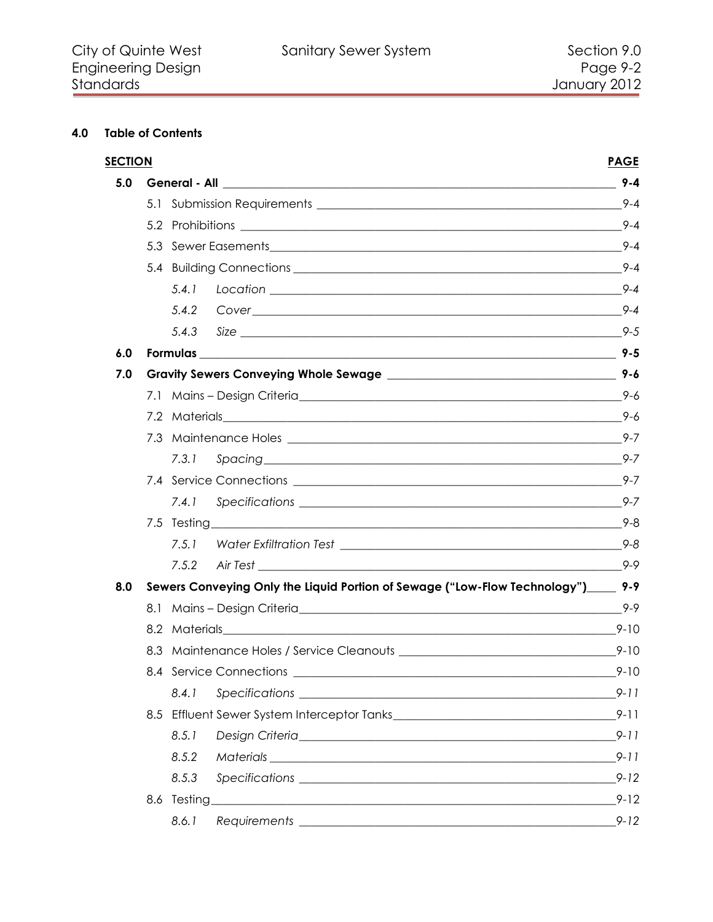# 4.0 Table of Contents

|     | <b>SECTION</b><br><b>PAGE</b> |                                                                                     |          |  |
|-----|-------------------------------|-------------------------------------------------------------------------------------|----------|--|
| 5.0 |                               |                                                                                     |          |  |
|     |                               |                                                                                     | $9 - 4$  |  |
|     |                               |                                                                                     | $9 - 4$  |  |
|     |                               |                                                                                     | $9 - 4$  |  |
|     |                               |                                                                                     |          |  |
|     |                               | 5.4.1                                                                               | $9 - 4$  |  |
|     |                               | 5.4.2                                                                               | $9 - 4$  |  |
|     |                               | 5.4.3                                                                               |          |  |
| 6.0 |                               |                                                                                     |          |  |
| 7.0 |                               |                                                                                     | $9 - 6$  |  |
|     |                               |                                                                                     | 9-6      |  |
|     |                               |                                                                                     | 9-6      |  |
|     |                               |                                                                                     |          |  |
|     |                               | 7.3.1                                                                               | $9 - 7$  |  |
|     |                               |                                                                                     | $9 - 7$  |  |
|     |                               | 7.4.1                                                                               |          |  |
|     |                               |                                                                                     |          |  |
|     |                               | 7.5.1                                                                               |          |  |
|     |                               | 7.5.2                                                                               | $9 - 9$  |  |
| 8.0 |                               | Sewers Conveying Only the Liquid Portion of Sewage ("Low-Flow Technology")_____ 9-9 |          |  |
|     |                               |                                                                                     | $9 - 9$  |  |
|     |                               |                                                                                     | $9 - 10$ |  |
|     |                               |                                                                                     | $9 - 10$ |  |
|     |                               |                                                                                     | $9 - 10$ |  |
|     |                               | 8.4.1                                                                               | $9 - 11$ |  |
|     |                               |                                                                                     | $9 - 11$ |  |
|     |                               | 8.5.1                                                                               | $9 - 11$ |  |
|     |                               | 8.5.2                                                                               | $9 - 11$ |  |
|     |                               | 8.5.3                                                                               | $9 - 12$ |  |
|     |                               |                                                                                     | $9 - 12$ |  |
|     |                               | 8.6.1                                                                               | $9 - 12$ |  |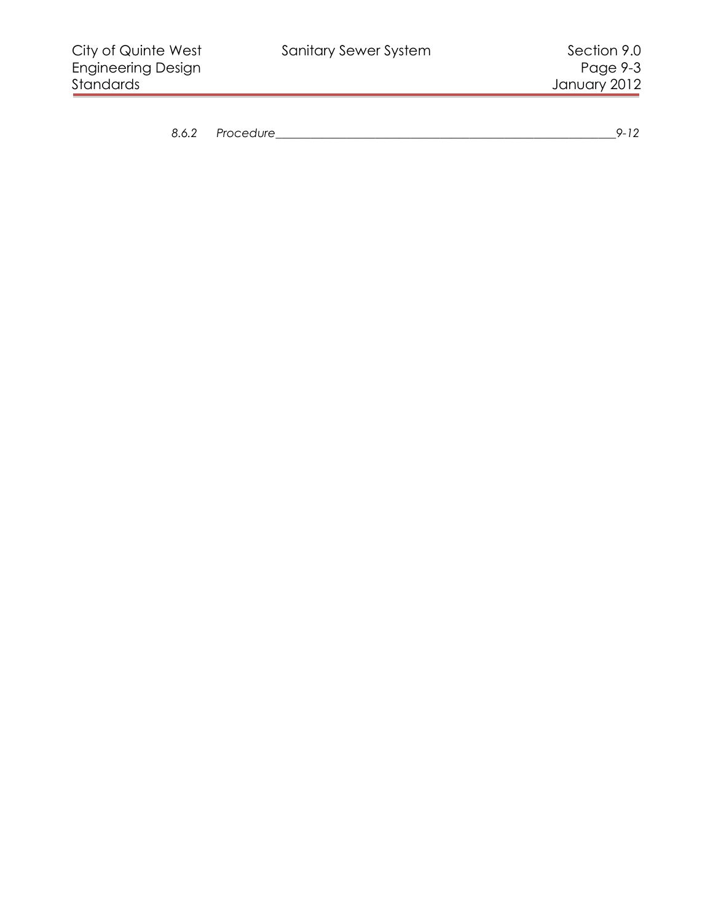| Ο     | Procedure | -- |
|-------|-----------|----|
| ◡.◡.∠ |           |    |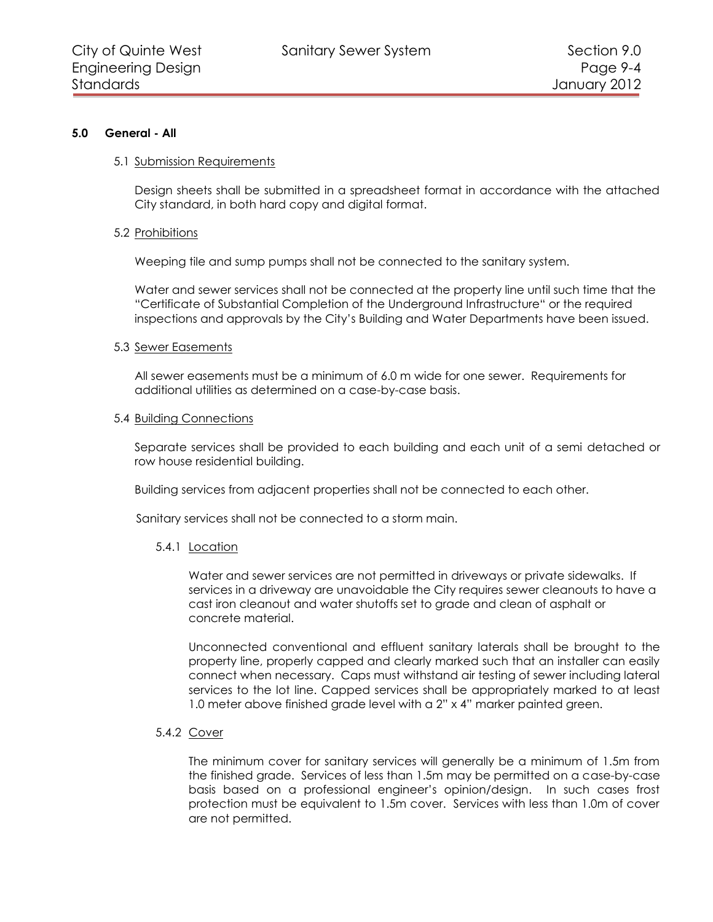#### <span id="page-3-0"></span>**5.0 General - All**

#### <span id="page-3-1"></span>5.1 Submission Requirements

Design sheets shall be submitted in a spreadsheet format in accordance with the attached City standard, in both hard copy and digital format.

#### <span id="page-3-2"></span>5.2 Prohibitions

Weeping tile and sump pumps shall not be connected to the sanitary system.

Water and sewer services shall not be connected at the property line until such time that the "Certificate of Substantial Completion of the Underground Infrastructure" or the required inspections and approvals by the City's Building and Water Departments have been issued.

#### <span id="page-3-3"></span>5.3 Sewer Easements

All sewer easements must be a minimum of 6.0 m wide for one sewer. Requirements for additional utilities as determined on a case-by-case basis.

#### <span id="page-3-4"></span>5.4 Building Connections

Separate services shall be provided to each building and each unit of a semi detached or row house residential building.

Building services from adjacent properties shall not be connected to each other.

<span id="page-3-5"></span>Sanitary services shall not be connected to a storm main.

## 5.4.1 Location

Water and sewer services are not permitted in driveways or private sidewalks. If services in a driveway are unavoidable the City requires sewer cleanouts to have a cast iron cleanout and water shutoffs set to grade and clean of asphalt or concrete material.

Unconnected conventional and effluent sanitary laterals shall be brought to the property line, properly capped and clearly marked such that an installer can easily connect when necessary. Caps must withstand air testing of sewer including lateral services to the lot line. Capped services shall be appropriately marked to at least 1.0 meter above finished grade level with a 2" x 4" marker painted green.

#### <span id="page-3-6"></span>5.4.2 Cover

The minimum cover for sanitary services will generally be a minimum of 1.5m from the finished grade. Services of less than 1.5m may be permitted on a case-by-case basis based on a professional engineer's opinion/design. In such cases frost protection must be equivalent to 1.5m cover. Services with less than 1.0m of cover are not permitted.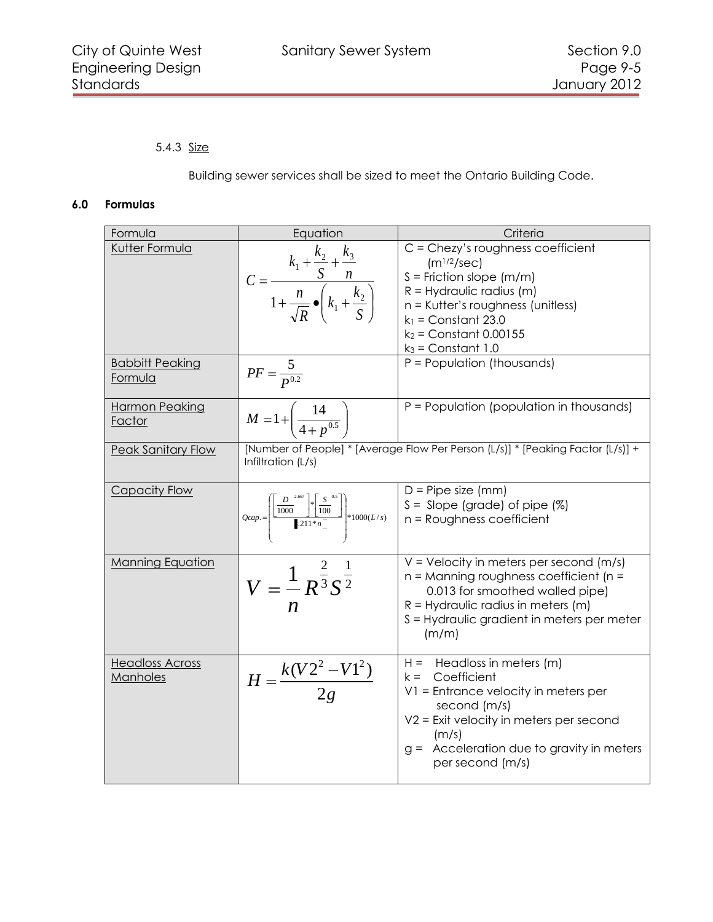# <span id="page-4-0"></span>5.4.3 Size

Building sewer services shall be sized to meet the Ontario Building Code.

## **6.0 Formulas**

<span id="page-4-1"></span>

| Formula                            | Equation                                                                                                                                                  | Criteria                                                                                                                                                                                                                           |
|------------------------------------|-----------------------------------------------------------------------------------------------------------------------------------------------------------|------------------------------------------------------------------------------------------------------------------------------------------------------------------------------------------------------------------------------------|
| Kutter Formula                     | $C = \frac{k_1 + \frac{k_2}{S} + \frac{k_3}{n}}{1 + \frac{n}{\sqrt{R}} \cdot \left(k_1 + \frac{k_2}{S}\right)}$                                           | C = Chezy's roughness coefficient<br>$(m^{1/2}/sec)$<br>$S =$ Friction slope (m/m)<br>$R =$ Hydraulic radius (m)<br>n = Kutter's roughness (unitless)<br>$k_1$ = Constant 23.0<br>$k_2$ = Constant 0.00155<br>$k_3$ = Constant 1.0 |
| <b>Babbitt Peaking</b><br>Formula  | $PF = \frac{5}{P^{0.2}}$                                                                                                                                  | P = Population (thousands)                                                                                                                                                                                                         |
| Harmon Peaking<br>Factor           | $M = 1 + \left( \frac{14}{4 + p^{0.5}} \right)$                                                                                                           | $P =$ Population (population in thousands)                                                                                                                                                                                         |
| <b>Peak Sanitary Flow</b>          | Infiltration (L/s)                                                                                                                                        | [Number of People] * [Average Flow Per Person (L/s)] * [Peaking Factor (L/s)] +                                                                                                                                                    |
| Capacity Flow                      | $Qcap = \left  \frac{\frac{D}{1000} - \frac{1}{2} \left  \frac{S}{100} \right }{\frac{1}{2}11 * n} \right  * 1000(L/s) \right $ S = Slope (grade) of pipe | $D =$ Pipe size (mm)<br>$S =$ Slope (grade) of pipe $(\%)$                                                                                                                                                                         |
| <b>Manning Equation</b>            | $V = \frac{1}{n} R^{\frac{2}{3}} S^{\frac{1}{2}}$                                                                                                         | $V = V$ elocity in meters per second (m/s)<br>$n =$ Manning roughness coefficient ( $n =$<br>0.013 for smoothed walled pipe)<br>$R =$ Hydraulic radius in meters (m)<br>S = Hydraulic gradient in meters per meter<br>(m/m)        |
| <b>Headloss Across</b><br>Manholes | $H = \frac{k(V2^2 - V1^2)}{2g}$                                                                                                                           | $H =$ Headloss in meters $(m)$<br>$k =$ Coefficient<br>V1 = Entrance velocity in meters per<br>second (m/s)<br>$V2$ = Exit velocity in meters per second<br>(m/s)<br>g = Acceleration due to gravity in meters<br>per second (m/s) |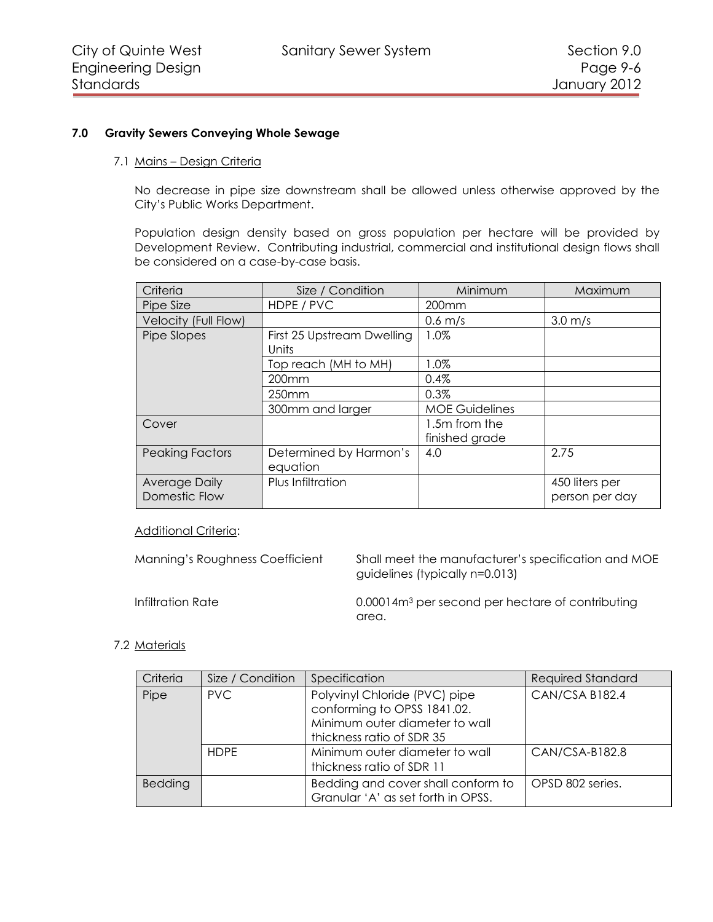## <span id="page-5-0"></span>**7.0 Gravity Sewers Conveying Whole Sewage**

#### <span id="page-5-1"></span>7.1 Mains – Design Criteria

No decrease in pipe size downstream shall be allowed unless otherwise approved by the City's Public Works Department.

Population design density based on gross population per hectare will be provided by Development Review. Contributing industrial, commercial and institutional design flows shall be considered on a case-by-case basis.

| Criteria                       | Size / Condition                    | Minimum                         | Maximum                          |
|--------------------------------|-------------------------------------|---------------------------------|----------------------------------|
| Pipe Size                      | HDPE / PVC                          | 200 <sub>mm</sub>               |                                  |
| Velocity (Full Flow)           |                                     | $0.6$ m/s                       | $3.0 \text{ m/s}$                |
| Pipe Slopes                    | First 25 Upstream Dwelling<br>Units | 1.0%                            |                                  |
|                                | Top reach (MH to MH)                | $1.0\%$                         |                                  |
|                                | $200$ mm                            | 0.4%                            |                                  |
|                                | 250 <sub>mm</sub>                   | 0.3%                            |                                  |
|                                | 300mm and larger                    | <b>MOE Guidelines</b>           |                                  |
| Cover                          |                                     | 1.5m from the<br>finished grade |                                  |
| <b>Peaking Factors</b>         | Determined by Harmon's<br>equation  | 4.0                             | 2.75                             |
| Average Daily<br>Domestic Flow | Plus Infiltration                   |                                 | 450 liters per<br>person per day |

## **Additional Criteria:**

Manning's Roughness Coefficient Shall meet the manufacturer's specification and MOE guidelines (typically n=0.013)

Infiltration Rate 0.00014m<sup>3</sup> per second per hectare of contributing area.

## <span id="page-5-2"></span>7.2 Materials

| Criteria | Size / Condition | Specification                                                                                                               | <b>Required Standard</b> |
|----------|------------------|-----------------------------------------------------------------------------------------------------------------------------|--------------------------|
| Pipe     | PVC.             | Polyvinyl Chloride (PVC) pipe<br>conforming to OPSS 1841.02.<br>Minimum outer diameter to wall<br>thickness ratio of SDR 35 | CAN/CSA B182.4           |
|          | <b>HDPE</b>      | Minimum outer diameter to wall<br>thickness ratio of SDR 11                                                                 | CAN/CSA-B182.8           |
| Bedding  |                  | Bedding and cover shall conform to<br>Granular 'A' as set forth in OPSS.                                                    | OPSD 802 series.         |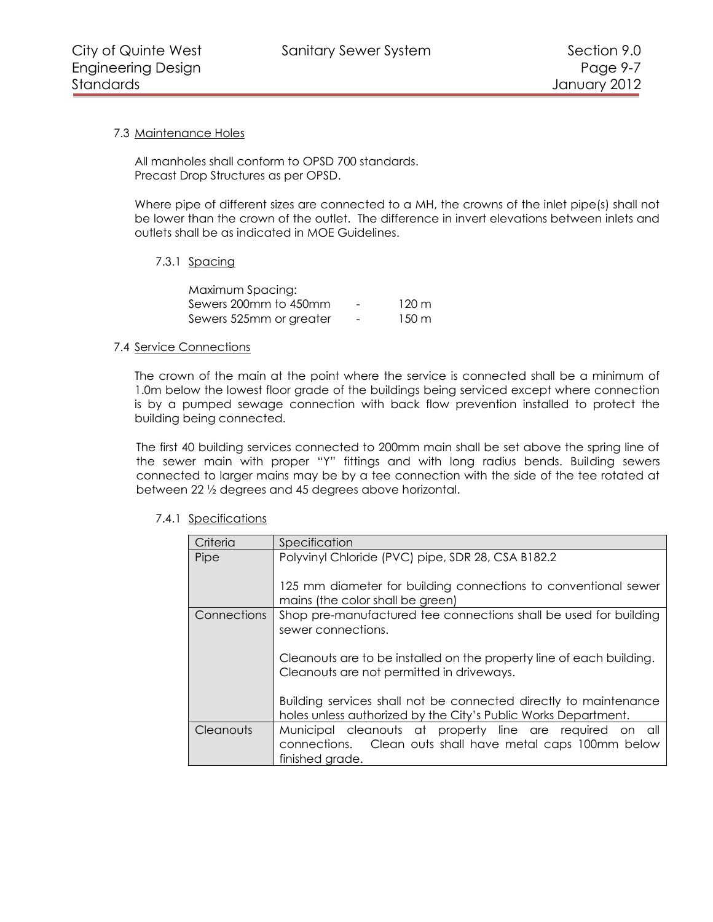# <span id="page-6-0"></span>7.3 Maintenance Holes

All manholes shall conform to OPSD 700 standards. Precast Drop Structures as per OPSD.

Where pipe of different sizes are connected to a MH, the crowns of the inlet pipe(s) shall not be lower than the crown of the outlet. The difference in invert elevations between inlets and outlets shall be as indicated in MOE Guidelines.

# <span id="page-6-1"></span>7.3.1 Spacing

| Maximum Spacing:        |                          |                 |
|-------------------------|--------------------------|-----------------|
| Sewers 200mm to 450mm   | -                        | 120 m           |
| Sewers 525mm or greater | $\overline{\phantom{0}}$ | $150 \text{ m}$ |

## <span id="page-6-2"></span>7.4 Service Connections

The crown of the main at the point where the service is connected shall be a minimum of 1.0m below the lowest floor grade of the buildings being serviced except where connection is by a pumped sewage connection with back flow prevention installed to protect the building being connected.

The first 40 building services connected to 200mm main shall be set above the spring line of the sewer main with proper "Y" fittings and with long radius bends. Building sewers connected to larger mains may be by a tee connection with the side of the tee rotated at between 22 ½ degrees and 45 degrees above horizontal.

## <span id="page-6-3"></span>7.4.1 Specifications

| Criteria           | Specification                                                                                                                            |
|--------------------|------------------------------------------------------------------------------------------------------------------------------------------|
| Pipe               | Polyvinyl Chloride (PVC) pipe, SDR 28, CSA B182.2                                                                                        |
|                    | 125 mm diameter for building connections to conventional sewer<br>mains (the color shall be green)                                       |
| <b>Connections</b> | Shop pre-manufactured tee connections shall be used for building<br>sewer connections.                                                   |
|                    | Cleanouts are to be installed on the property line of each building.<br>Cleanouts are not permitted in driveways.                        |
|                    | Building services shall not be connected directly to maintenance<br>holes unless authorized by the City's Public Works Department.       |
| <b>Cleanouts</b>   | Municipal cleanouts at property line are required on all<br>connections. Clean outs shall have metal caps 100mm below<br>finished grade. |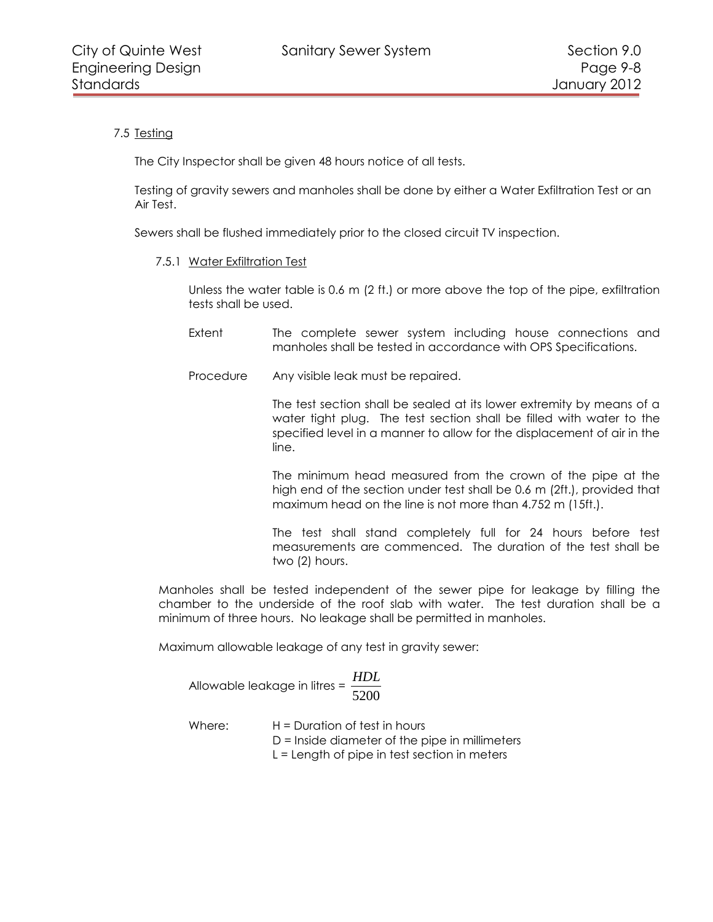# <span id="page-7-0"></span>7.5 Testing

The City Inspector shall be given 48 hours notice of all tests.

Testing of gravity sewers and manholes shall be done by either a Water Exfiltration Test or an Air Test.

<span id="page-7-1"></span>Sewers shall be flushed immediately prior to the closed circuit TV inspection.

#### 7.5.1 Water Exfiltration Test

Unless the water table is 0.6 m (2 ft.) or more above the top of the pipe, exfiltration tests shall be used.

- Extent The complete sewer system including house connections and manholes shall be tested in accordance with OPS Specifications.
- Procedure Any visible leak must be repaired.

The test section shall be sealed at its lower extremity by means of a water tight plug. The test section shall be filled with water to the specified level in a manner to allow for the displacement of air in the line.

The minimum head measured from the crown of the pipe at the high end of the section under test shall be 0.6 m (2ft.), provided that maximum head on the line is not more than 4.752 m (15ft.).

The test shall stand completely full for 24 hours before test measurements are commenced. The duration of the test shall be two (2) hours.

Manholes shall be tested independent of the sewer pipe for leakage by filling the chamber to the underside of the roof slab with water. The test duration shall be a minimum of three hours. No leakage shall be permitted in manholes.

Maximum allowable leakage of any test in gravity sewer:

|                                                   | HDL  |
|---------------------------------------------------|------|
| Allowable leakage in litres = $\frac{1152}{1100}$ | 5200 |

Where: H = Duration of test in hours D = Inside diameter of the pipe in millimeters L = Length of pipe in test section in meters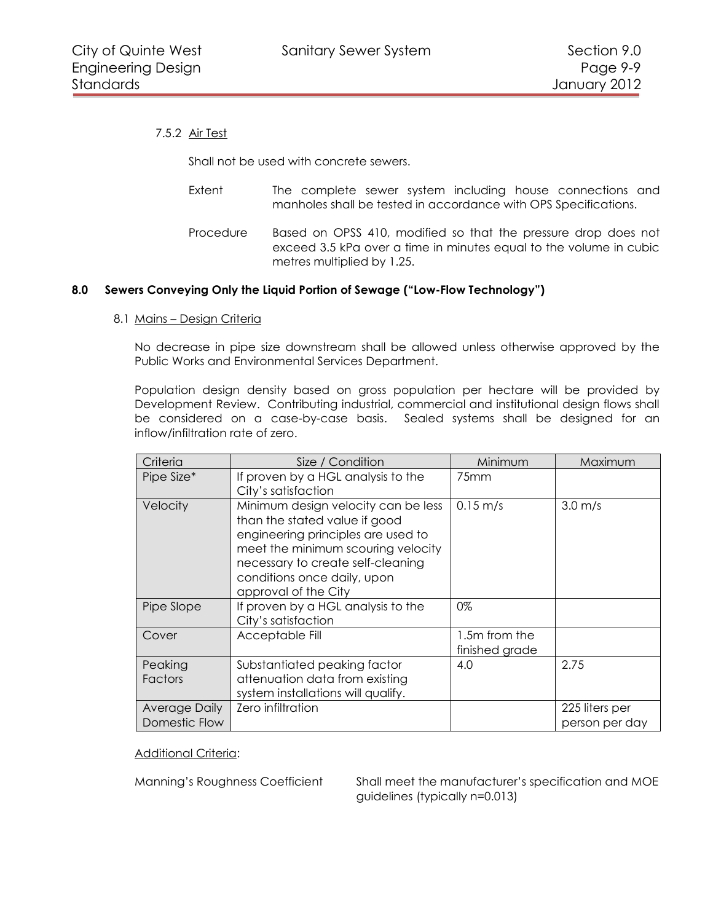# <span id="page-8-0"></span>7.5.2 Air Test

Shall not be used with concrete sewers.

- Extent The complete sewer system including house connections and manholes shall be tested in accordance with OPS Specifications.
- Procedure Based on OPSS 410, modified so that the pressure drop does not exceed 3.5 kPa over a time in minutes equal to the volume in cubic metres multiplied by 1.25.

#### <span id="page-8-1"></span>**8.0 Sewers Conveying Only the Liquid Portion of Sewage ("Low-Flow Technology")**

<span id="page-8-2"></span>8.1 Mains – Design Criteria

No decrease in pipe size downstream shall be allowed unless otherwise approved by the Public Works and Environmental Services Department.

Population design density based on gross population per hectare will be provided by Development Review. Contributing industrial, commercial and institutional design flows shall be considered on a case-by-case basis. Sealed systems shall be designed for an inflow/infiltration rate of zero.

| Criteria                       | Size / Condition                                                                                                                                                                                                                             | Minimum                         | Maximum                          |
|--------------------------------|----------------------------------------------------------------------------------------------------------------------------------------------------------------------------------------------------------------------------------------------|---------------------------------|----------------------------------|
| Pipe Size*                     | If proven by a HGL analysis to the<br>City's satisfaction                                                                                                                                                                                    | 75 <sub>mm</sub>                |                                  |
| Velocity                       | Minimum design velocity can be less<br>than the stated value if good<br>engineering principles are used to<br>meet the minimum scouring velocity<br>necessary to create self-cleaning<br>conditions once daily, upon<br>approval of the City | $0.15 \, \text{m/s}$            | $3.0 \text{ m/s}$                |
| Pipe Slope                     | If proven by a HGL analysis to the<br>City's satisfaction                                                                                                                                                                                    | 0%                              |                                  |
| Cover                          | Acceptable Fill                                                                                                                                                                                                                              | 1.5m from the<br>finished grade |                                  |
| Peaking<br>Factors             | Substantiated peaking factor<br>attenuation data from existing<br>system installations will qualify.                                                                                                                                         | 4.0                             | 2.75                             |
| Average Daily<br>Domestic Flow | Zero infiltration                                                                                                                                                                                                                            |                                 | 225 liters per<br>person per day |

Additional Criteria:

Manning's Roughness Coefficient Shall meet the manufacturer's specification and MOE guidelines (typically n=0.013)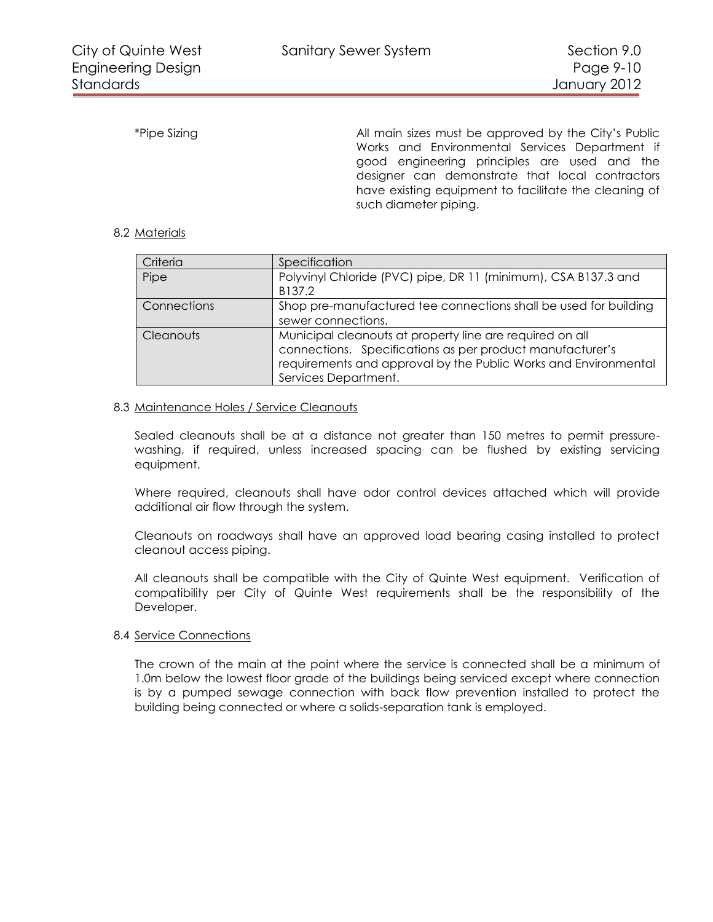\*Pipe Sizing and all main sizes must be approved by the City's Public Works and Environmental Services Department if good engineering principles are used and the designer can demonstrate that local contractors have existing equipment to facilitate the cleaning of such diameter piping.

## <span id="page-9-0"></span>8.2 Materials

| Criteria    | Specification                                                                                                                                                                                                    |
|-------------|------------------------------------------------------------------------------------------------------------------------------------------------------------------------------------------------------------------|
| Pipe        | Polyvinyl Chloride (PVC) pipe, DR 11 (minimum), CSA B137.3 and<br>B137.2                                                                                                                                         |
| Connections | Shop pre-manufactured tee connections shall be used for building<br>sewer connections.                                                                                                                           |
| Cleanouts   | Municipal cleanouts at property line are required on all<br>connections. Specifications as per product manufacturer's<br>requirements and approval by the Public Works and Environmental<br>Services Department. |

#### <span id="page-9-1"></span>8.3 Maintenance Holes / Service Cleanouts

Sealed cleanouts shall be at a distance not greater than 150 metres to permit pressurewashing, if required, unless increased spacing can be flushed by existing servicing equipment.

Where required, cleanouts shall have odor control devices attached which will provide additional air flow through the system.

Cleanouts on roadways shall have an approved load bearing casing installed to protect cleanout access piping.

All cleanouts shall be compatible with the City of Quinte West equipment. Verification of compatibility per City of Quinte West requirements shall be the responsibility of the Developer.

#### <span id="page-9-2"></span>8.4 Service Connections

The crown of the main at the point where the service is connected shall be a minimum of 1.0m below the lowest floor grade of the buildings being serviced except where connection is by a pumped sewage connection with back flow prevention installed to protect the building being connected or where a solids-separation tank is employed.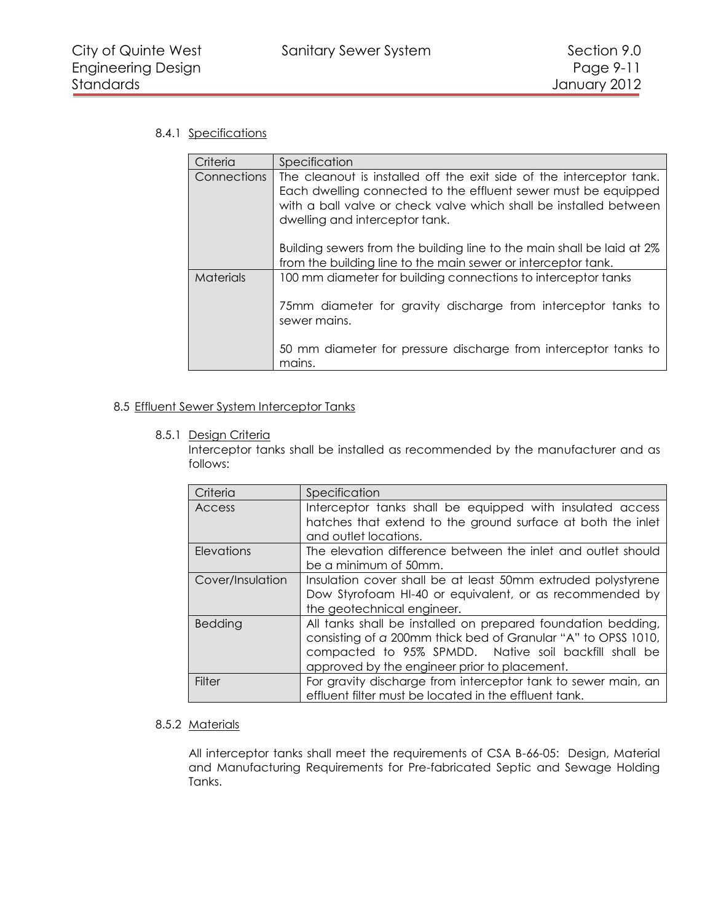# <span id="page-10-0"></span>8.4.1 Specifications

| Criteria         | Specification                                                                                                                                                                                                                                 |
|------------------|-----------------------------------------------------------------------------------------------------------------------------------------------------------------------------------------------------------------------------------------------|
| Connections      | The cleanout is installed off the exit side of the interceptor tank.<br>Each dwelling connected to the effluent sewer must be equipped<br>with a ball valve or check valve which shall be installed between<br>dwelling and interceptor tank. |
|                  | Building sewers from the building line to the main shall be laid at 2%<br>from the building line to the main sewer or interceptor tank.                                                                                                       |
| <b>Materials</b> | 100 mm diameter for building connections to interceptor tanks<br>75mm diameter for gravity discharge from interceptor tanks to<br>sewer mains.<br>50 mm diameter for pressure discharge from interceptor tanks to                             |
|                  | mains.                                                                                                                                                                                                                                        |

## <span id="page-10-2"></span><span id="page-10-1"></span>8.5 Effluent Sewer System Interceptor Tanks

#### 8.5.1 Design Criteria

Interceptor tanks shall be installed as recommended by the manufacturer and as follows:

| Criteria         | Specification                                                                                                                                                                                                                          |
|------------------|----------------------------------------------------------------------------------------------------------------------------------------------------------------------------------------------------------------------------------------|
| Access           | Interceptor tanks shall be equipped with insulated access<br>hatches that extend to the ground surface at both the inlet<br>and outlet locations.                                                                                      |
| Elevations       | The elevation difference between the inlet and outlet should<br>be a minimum of 50mm.                                                                                                                                                  |
| Cover/Insulation | Insulation cover shall be at least 50mm extruded polystyrene<br>Dow Styrofoam HI-40 or equivalent, or as recommended by<br>the geotechnical engineer.                                                                                  |
| Bedding          | All tanks shall be installed on prepared foundation bedding,<br>consisting of a 200mm thick bed of Granular "A" to OPSS 1010,<br>compacted to 95% SPMDD. Native soil backfill shall be<br>approved by the engineer prior to placement. |
| Filter           | For gravity discharge from interceptor tank to sewer main, an<br>effluent filter must be located in the effluent tank.                                                                                                                 |

## <span id="page-10-3"></span>8.5.2 Materials

All interceptor tanks shall meet the requirements of CSA B-66-05: Design, Material and Manufacturing Requirements for Pre-fabricated Septic and Sewage Holding Tanks.